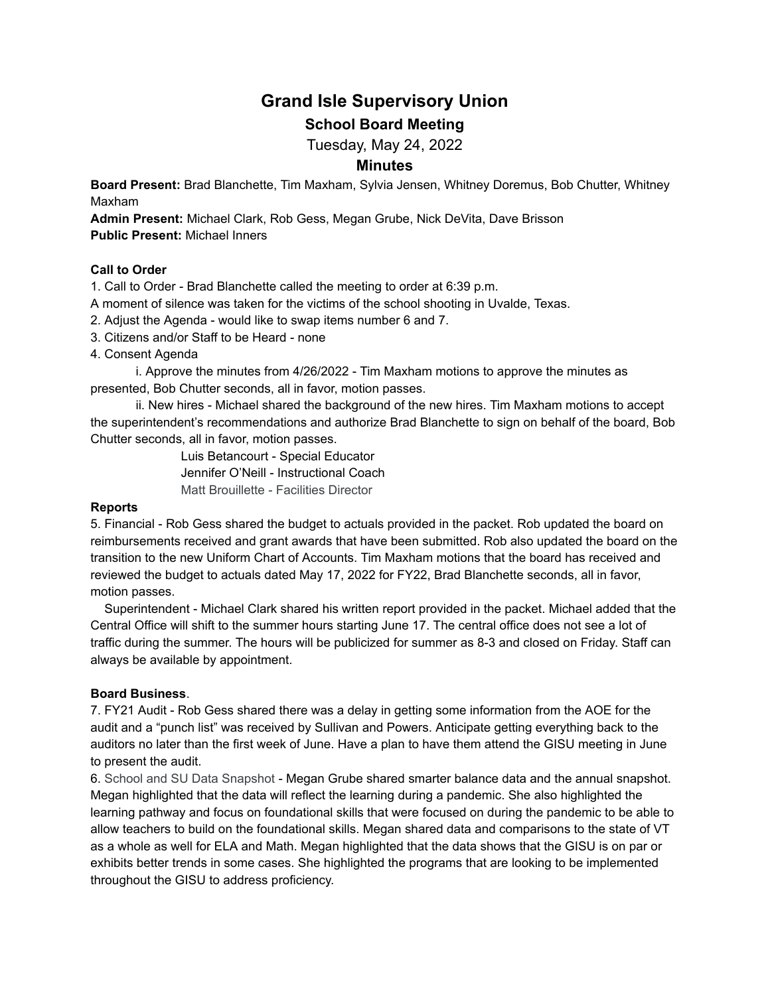# **Grand Isle Supervisory Union School Board Meeting**

Tuesday, May 24, 2022

# **Minutes**

**Board Present:** Brad Blanchette, Tim Maxham, Sylvia Jensen, Whitney Doremus, Bob Chutter, Whitney Maxham

**Admin Present:** Michael Clark, Rob Gess, Megan Grube, Nick DeVita, Dave Brisson **Public Present:** Michael Inners

## **Call to Order**

1. Call to Order - Brad Blanchette called the meeting to order at 6:39 p.m.

A moment of silence was taken for the victims of the school shooting in Uvalde, Texas.

2. Adjust the Agenda - would like to swap items number 6 and 7.

3. Citizens and/or Staff to be Heard - none

4. Consent Agenda

i. Approve the minutes from 4/26/2022 - Tim Maxham motions to approve the minutes as presented, Bob Chutter seconds, all in favor, motion passes.

ii. New hires - Michael shared the background of the new hires. Tim Maxham motions to accept the superintendent's recommendations and authorize Brad Blanchette to sign on behalf of the board, Bob Chutter seconds, all in favor, motion passes.

> Luis Betancourt - Special Educator Jennifer O'Neill - Instructional Coach Matt Brouillette - Facilities Director

#### **Reports**

5. Financial - Rob Gess shared the budget to actuals provided in the packet. Rob updated the board on reimbursements received and grant awards that have been submitted. Rob also updated the board on the transition to the new Uniform Chart of Accounts. Tim Maxham motions that the board has received and reviewed the budget to actuals dated May 17, 2022 for FY22, Brad Blanchette seconds, all in favor, motion passes.

Superintendent - Michael Clark shared his written report provided in the packet. Michael added that the Central Office will shift to the summer hours starting June 17. The central office does not see a lot of traffic during the summer. The hours will be publicized for summer as 8-3 and closed on Friday. Staff can always be available by appointment.

### **Board Business**.

7. FY21 Audit - Rob Gess shared there was a delay in getting some information from the AOE for the audit and a "punch list" was received by Sullivan and Powers. Anticipate getting everything back to the auditors no later than the first week of June. Have a plan to have them attend the GISU meeting in June to present the audit.

6. School and SU Data Snapshot - Megan Grube shared smarter balance data and the annual snapshot. Megan highlighted that the data will reflect the learning during a pandemic. She also highlighted the learning pathway and focus on foundational skills that were focused on during the pandemic to be able to allow teachers to build on the foundational skills. Megan shared data and comparisons to the state of VT as a whole as well for ELA and Math. Megan highlighted that the data shows that the GISU is on par or exhibits better trends in some cases. She highlighted the programs that are looking to be implemented throughout the GISU to address proficiency.